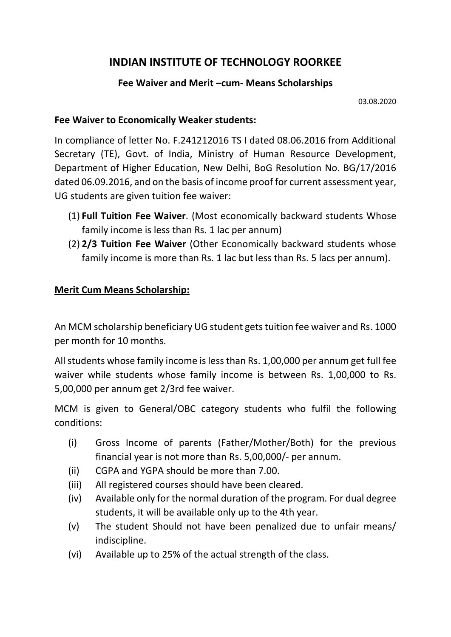## **INDIAN INSTITUTE OF TECHNOLOGY ROORKEE**

## **Fee Waiver and Merit –cum- Means Scholarships**

03.08.2020

## **Fee Waiver to Economically Weaker students:**

In compliance of letter No. F.241212016 TS I dated 08.06.2016 from Additional Secretary (TE), Govt. of India, Ministry of Human Resource Development, Department of Higher Education, New Delhi, BoG Resolution No. BG/17/2016 dated 06.09.2016, and on the basis of income proof for current assessment year, UG students are given tuition fee waiver:

- (1) **Full Tuition Fee Waiver**. (Most economically backward students Whose family income is less than Rs. 1 lac per annum)
- (2) **2/3 Tuition Fee Waiver** (Other Economically backward students whose family income is more than Rs. 1 lac but less than Rs. 5 lacs per annum).

## **Merit Cum Means Scholarship:**

An MCM scholarship beneficiary UG student gets tuition fee waiver and Rs. 1000 per month for 10 months.

All students whose family income is less than Rs. 1,00,000 per annum get full fee waiver while students whose family income is between Rs. 1,00,000 to Rs. 5,00,000 per annum get 2/3rd fee waiver.

MCM is given to General/OBC category students who fulfil the following conditions:

- (i) Gross Income of parents (Father/Mother/Both) for the previous financial year is not more than Rs. 5,00,000/- per annum.
- (ii) CGPA and YGPA should be more than 7.00.
- (iii) All registered courses should have been cleared.
- (iv) Available only for the normal duration of the program. For dual degree students, it will be available only up to the 4th year.
- (v) The student Should not have been penalized due to unfair means/ indiscipline.
- (vi) Available up to 25% of the actual strength of the class.